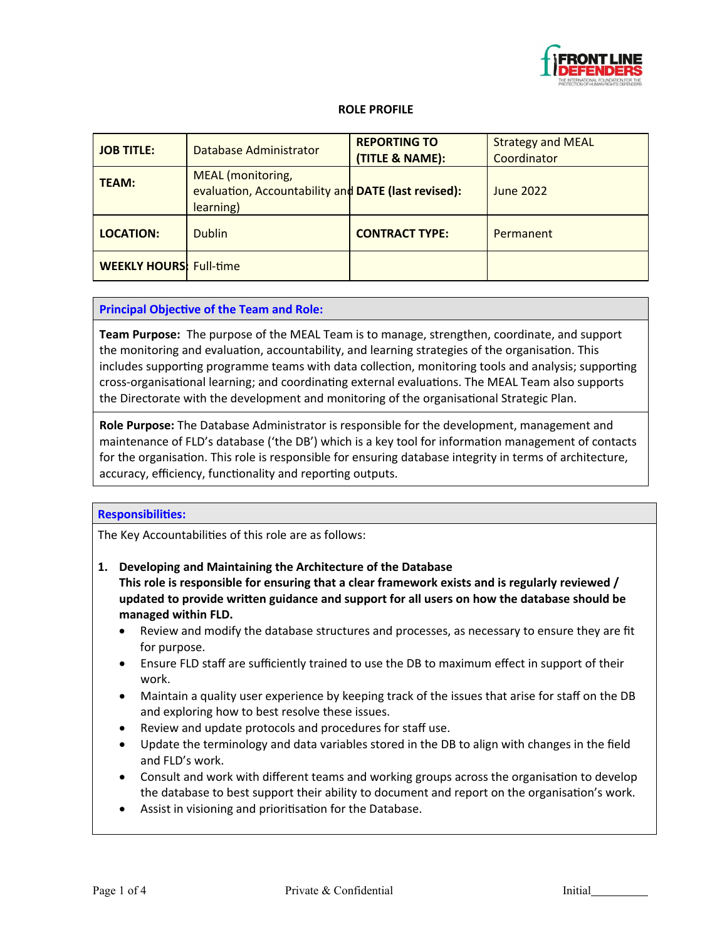

#### **ROLE PROFILE**

| <b>JOB TITLE:</b>              | Database Administrator                                                                       | <b>REPORTING TO</b><br>(TITLE & NAME): | <b>Strategy and MEAL</b><br>Coordinator |
|--------------------------------|----------------------------------------------------------------------------------------------|----------------------------------------|-----------------------------------------|
| <b>TEAM:</b>                   | <b>MEAL</b> (monitoring,<br>evaluation, Accountability and DATE (last revised):<br>learning) |                                        | <b>June 2022</b>                        |
| <b>LOCATION:</b>               | <b>Dublin</b>                                                                                | <b>CONTRACT TYPE:</b>                  | Permanent                               |
| <b>WEEKLY HOURS: Full-time</b> |                                                                                              |                                        |                                         |

#### **Principal Objective of the Team and Role:**

**Team Purpose:** The purpose of the MEAL Team is to manage, strengthen, coordinate, and support the monitoring and evaluation, accountability, and learning strategies of the organisation. This includes supporting programme teams with data collection, monitoring tools and analysis; supporting cross-organisational learning; and coordinating external evaluations. The MEAL Team also supports the Directorate with the development and monitoring of the organisational Strategic Plan.

**Role Purpose:** The Database Administrator is responsible for the development, management and maintenance of FLD's database ('the DB') which is a key tool for information management of contacts for the organisation. This role is responsible for ensuring database integrity in terms of architecture, accuracy, efficiency, functionality and reporting outputs.

#### **Responsibilities:**

The Key Accountabilities of this role are as follows:

**1. Developing and Maintaining the Architecture of the Database This role is responsible for ensuring that a clear framework exists and is regularly reviewed / updated to provide written guidance and support for all users on how the database should be managed within FLD.**

- Review and modify the database structures and processes, as necessary to ensure they are fit for purpose.
- Ensure FLD staff are sufficiently trained to use the DB to maximum effect in support of their work.
- Maintain a quality user experience by keeping track of the issues that arise for staff on the DB and exploring how to best resolve these issues.
- Review and update protocols and procedures for staff use.
- Update the terminology and data variables stored in the DB to align with changes in the field and FLD's work.
- Consult and work with different teams and working groups across the organisation to develop the database to best support their ability to document and report on the organisation's work.
- Assist in visioning and prioritisation for the Database.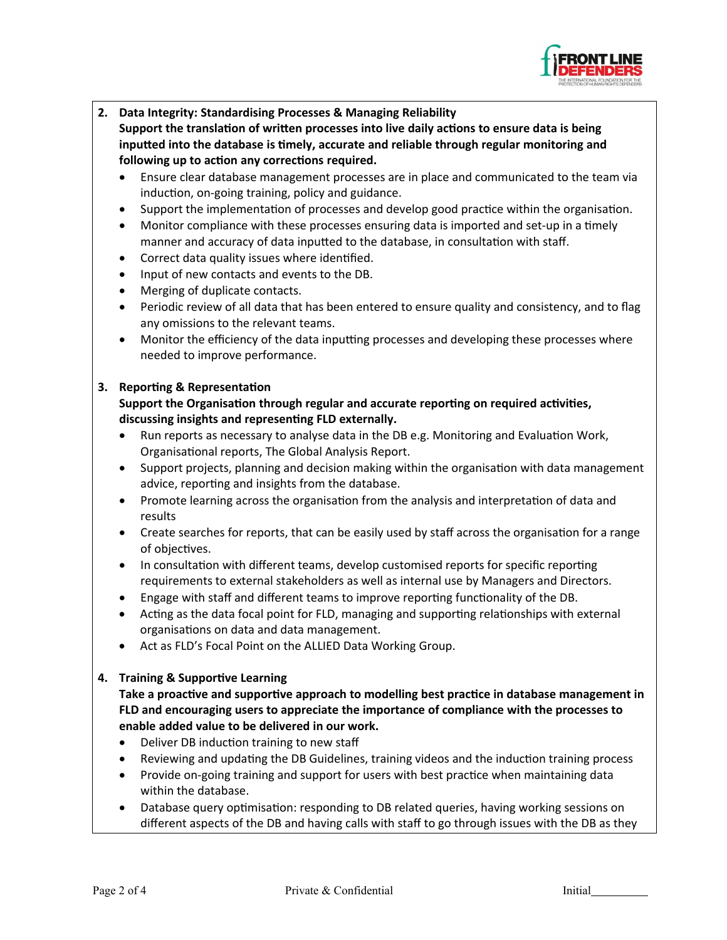

**2. Data Integrity: Standardising Processes & Managing Reliability**

**Support the translation of written processes into live daily actions to ensure data is being inputted into the database is timely, accurate and reliable through regular monitoring and following up to action any corrections required.**

- Ensure clear database management processes are in place and communicated to the team via induction, on-going training, policy and guidance.
- Support the implementation of processes and develop good practice within the organisation.
- Monitor compliance with these processes ensuring data is imported and set-up in a timely manner and accuracy of data inputted to the database, in consultation with staff.
- Correct data quality issues where identified.
- Input of new contacts and events to the DB.
- Merging of duplicate contacts.
- Periodic review of all data that has been entered to ensure quality and consistency, and to flag any omissions to the relevant teams.
- Monitor the efficiency of the data inputting processes and developing these processes where needed to improve performance.

## **3. Reporting & Representation**

**Support the Organisation through regular and accurate reporting on required activities, discussing insights and representing FLD externally.**

- Run reports as necessary to analyse data in the DB e.g. Monitoring and Evaluation Work, Organisational reports, The Global Analysis Report.
- Support projects, planning and decision making within the organisation with data management advice, reporting and insights from the database.
- Promote learning across the organisation from the analysis and interpretation of data and results
- Create searches for reports, that can be easily used by staff across the organisation for a range of objectives.
- In consultation with different teams, develop customised reports for specific reporting requirements to external stakeholders as well as internal use by Managers and Directors.
- Engage with staff and different teams to improve reporting functionality of the DB.
- Acting as the data focal point for FLD, managing and supporting relationships with external organisations on data and data management.
- Act as FLD's Focal Point on the ALLIED Data Working Group.

## **4. Training & Supportive Learning**

**Take a proactive and supportive approach to modelling best practice in database management in FLD and encouraging users to appreciate the importance of compliance with the processes to enable added value to be delivered in our work.**

- Deliver DB induction training to new staff
- Reviewing and updating the DB Guidelines, training videos and the induction training process
- Provide on-going training and support for users with best practice when maintaining data within the database.
- Database query optimisation: responding to DB related queries, having working sessions on different aspects of the DB and having calls with staff to go through issues with the DB as they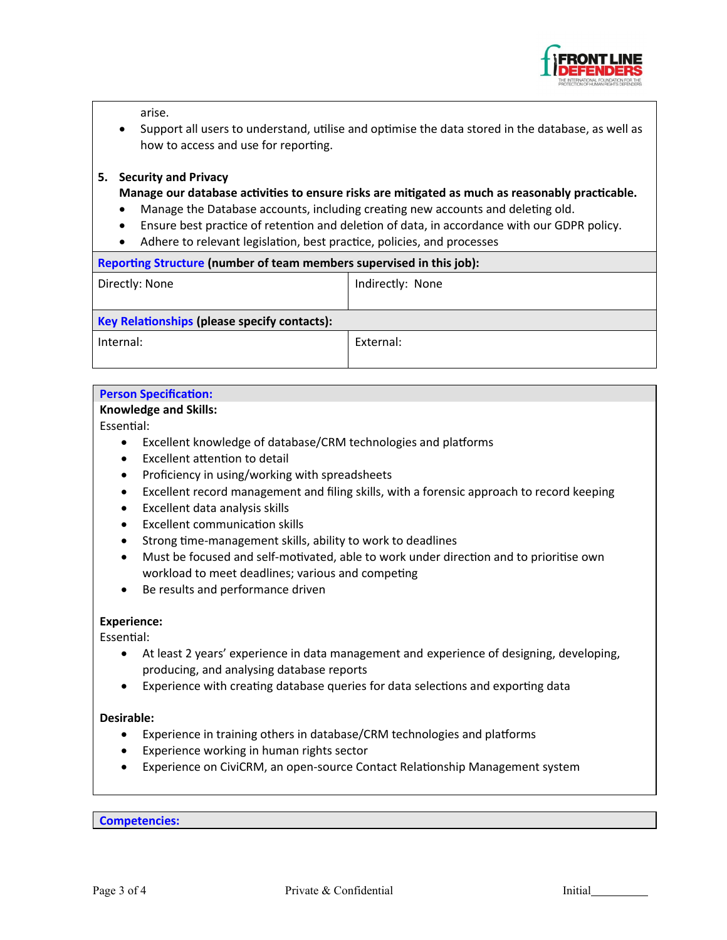

arise.

 Support all users to understand, utilise and optimise the data stored in the database, as well as how to access and use for reporting.

## **5. Security and Privacy**

**Manage our database activities to ensure risks are mitigated as much as reasonably practicable.**

- Manage the Database accounts, including creating new accounts and deleting old.
- Ensure best practice of retention and deletion of data, in accordance with our GDPR policy.
- Adhere to relevant legislation, best practice, policies, and processes

| Reporting Structure (number of team members supervised in this job): |                  |  |  |
|----------------------------------------------------------------------|------------------|--|--|
| Directly: None                                                       | Indirectly: None |  |  |
|                                                                      |                  |  |  |
| <b>Key Relationships (please specify contacts):</b>                  |                  |  |  |
| Internal:                                                            | External:        |  |  |
|                                                                      |                  |  |  |

## **Person Specification:**

#### **Knowledge and Skills:**

Essential:

- Excellent knowledge of database/CRM technologies and platforms
- Excellent attention to detail
- Proficiency in using/working with spreadsheets
- Excellent record management and filing skills, with a forensic approach to record keeping
- Excellent data analysis skills
- Excellent communication skills
- Strong time-management skills, ability to work to deadlines
- Must be focused and self-motivated, able to work under direction and to prioritise own workload to meet deadlines; various and competing
- Be results and performance driven

## **Experience:**

Essential:

- At least 2 years' experience in data management and experience of designing, developing, producing, and analysing database reports
- Experience with creating database queries for data selections and exporting data

## **Desirable:**

- Experience in training others in database/CRM technologies and platforms
- Experience working in human rights sector
- Experience on CiviCRM, an open-source Contact Relationship Management system

**Competencies:**